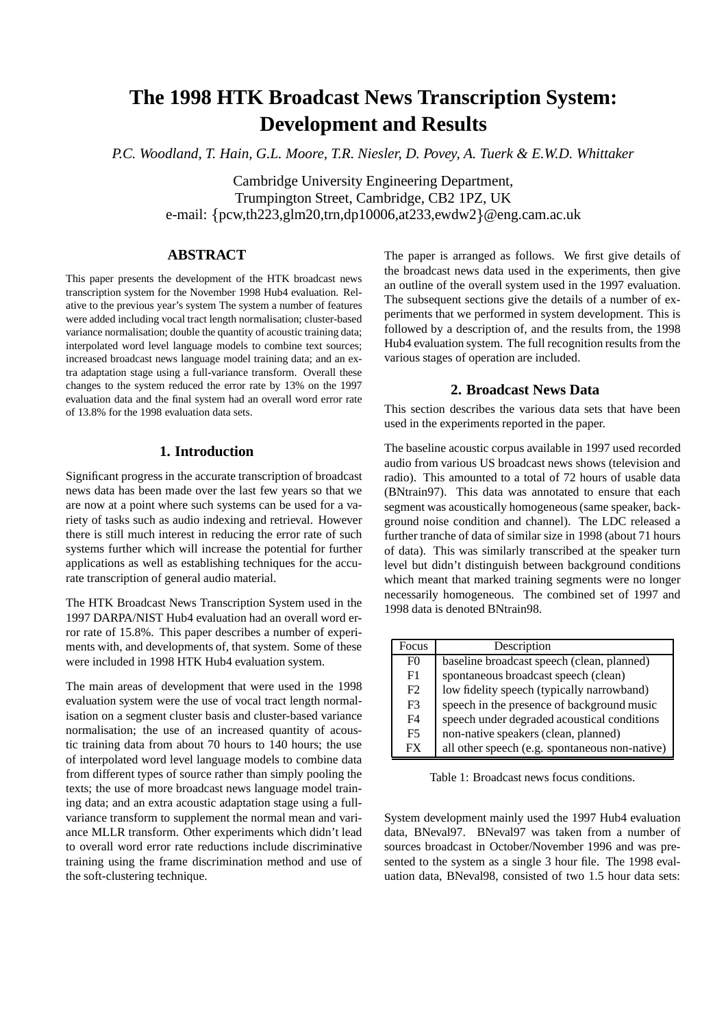# **The 1998 HTK Broadcast News Transcription System: Development and Results**

*P.C. Woodland, T. Hain, G.L. Moore, T.R. Niesler, D. Povey, A. Tuerk & E.W.D. Whittaker*

Cambridge University Engineering Department, Trumpington Street, Cambridge, CB2 1PZ, UK e-mail: pcw,th223,glm20,trn,dp10006,at233,ewdw2 @eng.cam.ac.uk

# **ABSTRACT**

This paper presents the development of the HTK broadcast news transcription system for the November 1998 Hub4 evaluation. Relative to the previous year's system The system a number of features were added including vocal tract length normalisation; cluster-based variance normalisation; double the quantity of acoustic training data; interpolated word level language models to combine text sources; increased broadcast news language model training data; and an extra adaptation stage using a full-variance transform. Overall these changes to the system reduced the error rate by 13% on the 1997 evaluation data and the final system had an overall word error rate of 13.8% for the 1998 evaluation data sets.

#### **1. Introduction**

Significant progress in the accurate transcription of broadcast news data has been made over the last few years so that we are now at a point where such systems can be used for a variety of tasks such as audio indexing and retrieval. However there is still much interest in reducing the error rate of such systems further which will increase the potential for further applications as well as establishing techniques for the accurate transcription of general audio material.

The HTK Broadcast News Transcription System used in the 1997 DARPA/NIST Hub4 evaluation had an overall word error rate of 15.8%. This paper describes a number of experiments with, and developments of, that system. Some of these were included in 1998 HTK Hub4 evaluation system.

The main areas of development that were used in the 1998 evaluation system were the use of vocal tract length normalisation on a segment cluster basis and cluster-based variance normalisation; the use of an increased quantity of acoustic training data from about 70 hours to 140 hours; the use of interpolated word level language models to combine data from different types of source rather than simply pooling the texts; the use of more broadcast news language model training data; and an extra acoustic adaptation stage using a fullvariance transform to supplement the normal mean and variance MLLR transform. Other experiments which didn't lead to overall word error rate reductions include discriminative training using the frame discrimination method and use of the soft-clustering technique.

The paper is arranged as follows. We first give details of the broadcast news data used in the experiments, then give an outline of the overall system used in the 1997 evaluation. The subsequent sections give the details of a number of experiments that we performed in system development. This is followed by a description of, and the results from, the 1998 Hub4 evaluation system. The full recognition results from the various stages of operation are included.

#### **2. Broadcast News Data**

This section describes the various data sets that have been used in the experiments reported in the paper.

The baseline acoustic corpus available in 1997 used recorded audio from various US broadcast news shows (television and radio). This amounted to a total of 72 hours of usable data (BNtrain97). This data was annotated to ensure that each segment was acoustically homogeneous(same speaker, background noise condition and channel). The LDC released a further tranche of data of similar size in 1998 (about 71 hours of data). This was similarly transcribed at the speaker turn level but didn't distinguish between background conditions which meant that marked training segments were no longer necessarily homogeneous. The combined set of 1997 and 1998 data is denoted BNtrain98.

| Focus          | Description                                    |
|----------------|------------------------------------------------|
| F <sub>0</sub> | baseline broadcast speech (clean, planned)     |
| F1             | spontaneous broadcast speech (clean)           |
| F2             | low fidelity speech (typically narrowband)     |
| F <sub>3</sub> | speech in the presence of background music     |
| F4             | speech under degraded acoustical conditions    |
| F <sub>5</sub> | non-native speakers (clean, planned)           |
| <b>FX</b>      | all other speech (e.g. spontaneous non-native) |

Table 1: Broadcast news focus conditions.

System development mainly used the 1997 Hub4 evaluation data, BNeval97. BNeval97 was taken from a number of sources broadcast in October/November 1996 and was presented to the system as a single 3 hour file. The 1998 evaluation data, BNeval98, consisted of two 1.5 hour data sets: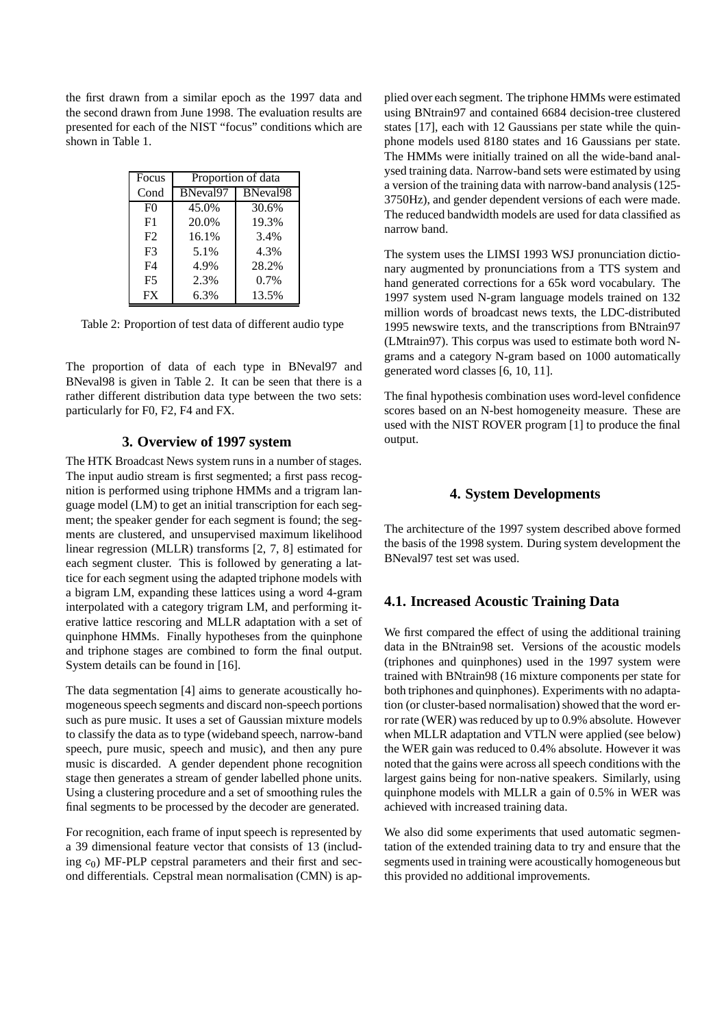the first drawn from a similar epoch as the 1997 data and the second drawn from June 1998. The evaluation results are presented for each of the NIST "focus" conditions which are shown in Table 1.

| Focus          | Proportion of data |          |  |  |  |  |
|----------------|--------------------|----------|--|--|--|--|
| Cond           | BNeval97           | BNeval98 |  |  |  |  |
| F <sub>0</sub> | 45.0%              | 30.6%    |  |  |  |  |
| F1             | 20.0%              | 19.3%    |  |  |  |  |
| F2             | 16.1%              | 3.4%     |  |  |  |  |
| F3             | 5.1%               | 4.3%     |  |  |  |  |
| F <sub>4</sub> | 4.9%               | 28.2%    |  |  |  |  |
| F <sub>5</sub> | 2.3%               | 0.7%     |  |  |  |  |
| <b>FX</b>      | 6.3%               | 13.5%    |  |  |  |  |

Table 2: Proportion of test data of different audio type

The proportion of data of each type in BNeval97 and BNeval98 is given in Table 2. It can be seen that there is a rather different distribution data type between the two sets: particularly for F0, F2, F4 and FX.

# **3. Overview of 1997 system**

The HTK Broadcast News system runs in a number of stages. The input audio stream is first segmented; a first pass recognition is performed using triphone HMMs and a trigram language model (LM) to get an initial transcription for each segment; the speaker gender for each segment is found; the segments are clustered, and unsupervised maximum likelihood linear regression (MLLR) transforms [2, 7, 8] estimated for each segment cluster. This is followed by generating a lattice for each segment using the adapted triphone models with a bigram LM, expanding these lattices using a word 4-gram interpolated with a category trigram LM, and performing iterative lattice rescoring and MLLR adaptation with a set of quinphone HMMs. Finally hypotheses from the quinphone and triphone stages are combined to form the final output. System details can be found in [16].

The data segmentation [4] aims to generate acoustically homogeneousspeech segments and discard non-speech portions such as pure music. It uses a set of Gaussian mixture models to classify the data as to type (wideband speech, narrow-band speech, pure music, speech and music), and then any pure music is discarded. A gender dependent phone recognition stage then generates a stream of gender labelled phone units. Using a clustering procedure and a set of smoothing rules the final segments to be processed by the decoder are generated.

For recognition, each frame of input speech is represented by a 39 dimensional feature vector that consists of 13 (including  $c_0$ ) MF-PLP cepstral parameters and their first and second differentials. Cepstral mean normalisation (CMN) is ap-

plied over each segment. The triphone HMMs were estimated using BNtrain97 and contained 6684 decision-tree clustered states [17], each with 12 Gaussians per state while the quinphone models used 8180 states and 16 Gaussians per state. The HMMs were initially trained on all the wide-band analysed training data. Narrow-band sets were estimated by using a version of the training data with narrow-band analysis (125- 3750Hz), and gender dependent versions of each were made. The reduced bandwidth models are used for data classified as narrow band.

The system uses the LIMSI 1993 WSJ pronunciation dictionary augmented by pronunciations from a TTS system and hand generated corrections for a 65k word vocabulary. The 1997 system used N-gram language models trained on 132 million words of broadcast news texts, the LDC-distributed 1995 newswire texts, and the transcriptions from BNtrain97 (LMtrain97). This corpus was used to estimate both word Ngrams and a category N-gram based on 1000 automatically generated word classes [6, 10, 11].

The final hypothesis combination uses word-level confidence scores based on an N-best homogeneity measure. These are used with the NIST ROVER program [1] to produce the final output.

# **4. System Developments**

The architecture of the 1997 system described above formed the basis of the 1998 system. During system development the BNeval97 test set was used.

# **4.1. Increased Acoustic Training Data**

We first compared the effect of using the additional training data in the BNtrain98 set. Versions of the acoustic models (triphones and quinphones) used in the 1997 system were trained with BNtrain98 (16 mixture components per state for both triphones and quinphones). Experiments with no adaptation (or cluster-based normalisation) showed that the word error rate (WER) was reduced by up to 0.9% absolute. However when MLLR adaptation and VTLN were applied (see below) the WER gain was reduced to 0.4% absolute. However it was noted that the gains were across all speech conditions with the largest gains being for non-native speakers. Similarly, using quinphone models with MLLR a gain of 0.5% in WER was achieved with increased training data.

We also did some experiments that used automatic segmentation of the extended training data to try and ensure that the segments used in training were acoustically homogeneous but this provided no additional improvements.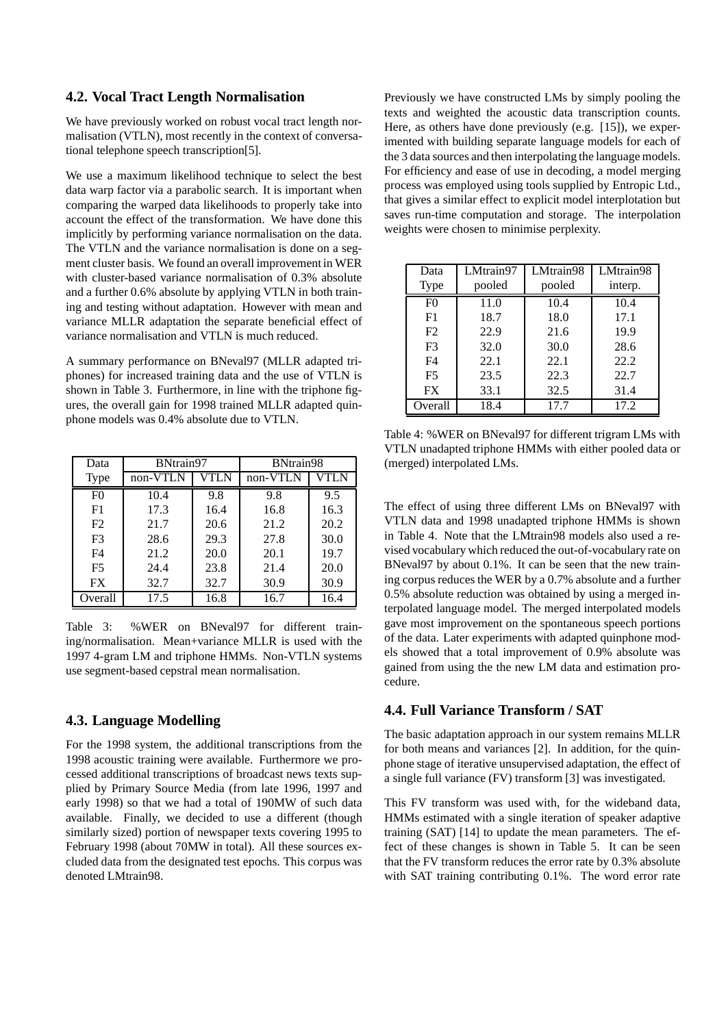#### **4.2. Vocal Tract Length Normalisation**

We have previously worked on robust vocal tract length normalisation (VTLN), most recently in the context of conversational telephone speech transcription[5].

We use a maximum likelihood technique to select the best data warp factor via a parabolic search. It is important when comparing the warped data likelihoods to properly take into account the effect of the transformation. We have done this implicitly by performing variance normalisation on the data. The VTLN and the variance normalisation is done on a segment cluster basis. We found an overall improvement in WER with cluster-based variance normalisation of 0.3% absolute and a further 0.6% absolute by applying VTLN in both training and testing without adaptation. However with mean and variance MLLR adaptation the separate beneficial effect of variance normalisation and VTLN is much reduced.

A summary performance on BNeval97 (MLLR adapted triphones) for increased training data and the use of VTLN is shown in Table 3. Furthermore, in line with the triphone figures, the overall gain for 1998 trained MLLR adapted quinphone models was 0.4% absolute due to VTLN.

| Data           | BNtrain97 |      | BNtrain98 |      |  |  |
|----------------|-----------|------|-----------|------|--|--|
| <b>Type</b>    | non-VTLN  | VTLN | non-VTLN  | VTLN |  |  |
| F <sub>0</sub> | 10.4      | 9.8  | 9.8       | 9.5  |  |  |
| F1             | 17.3      | 16.4 | 16.8      | 16.3 |  |  |
| F2             | 21.7      | 20.6 | 21.2      | 20.2 |  |  |
| F <sub>3</sub> | 28.6      | 29.3 | 27.8      | 30.0 |  |  |
| F <sub>4</sub> | 21.2      | 20.0 | 20.1      | 19.7 |  |  |
| F <sub>5</sub> | 24.4      | 23.8 | 21.4      | 20.0 |  |  |
| <b>FX</b>      | 32.7      | 32.7 | 30.9      | 30.9 |  |  |
| Overall        | 17.5      | 16.8 | 16.7      | 16.4 |  |  |

Table 3: %WER on BNeval97 for different training/normalisation. Mean+variance MLLR is used with the 1997 4-gram LM and triphone HMMs. Non-VTLN systems use segment-based cepstral mean normalisation.

## **4.3. Language Modelling**

For the 1998 system, the additional transcriptions from the 1998 acoustic training were available. Furthermore we processed additional transcriptions of broadcast news texts supplied by Primary Source Media (from late 1996, 1997 and early 1998) so that we had a total of 190MW of such data available. Finally, we decided to use a different (though similarly sized) portion of newspaper texts covering 1995 to February 1998 (about 70MW in total). All these sources excluded data from the designated test epochs. This corpus was denoted LMtrain98.

Previously we have constructed LMs by simply pooling the texts and weighted the acoustic data transcription counts. Here, as others have done previously (e.g. [15]), we experimented with building separate language models for each of the 3 data sources and then interpolating the language models. For efficiency and ease of use in decoding, a model merging process was employed using tools supplied by Entropic Ltd., that gives a similar effect to explicit model interplotation but saves run-time computation and storage. The interpolation weights were chosen to minimise perplexity.

| Data           | LMtrain97 | LMtrain98 | LMtrain98 |
|----------------|-----------|-----------|-----------|
| Type           | pooled    | pooled    | interp.   |
| F <sub>0</sub> | 11.0      | 10.4      | 10.4      |
| F1             | 18.7      | 18.0      | 17.1      |
| F <sub>2</sub> | 22.9      | 21.6      | 19.9      |
| F <sub>3</sub> | 32.0      | 30.0      | 28.6      |
| F <sub>4</sub> | 22.1      | 22.1      | 22.2      |
| F <sub>5</sub> | 23.5      | 22.3      | 22.7      |
| <b>FX</b>      | 33.1      | 32.5      | 31.4      |
| Overall        | 18.4      | 17.7      | 17.2      |

Table 4: %WER on BNeval97 for different trigram LMs with VTLN unadapted triphone HMMs with either pooled data or (merged) interpolated LMs.

The effect of using three different LMs on BNeval97 with VTLN data and 1998 unadapted triphone HMMs is shown in Table 4. Note that the LMtrain98 models also used a revised vocabulary which reduced the out-of-vocabulary rate on BNeval97 by about 0.1%. It can be seen that the new training corpus reduces the WER by a 0.7% absolute and a further 0.5% absolute reduction was obtained by using a merged interpolated language model. The merged interpolated models gave most improvement on the spontaneous speech portions of the data. Later experiments with adapted quinphone models showed that a total improvement of 0.9% absolute was gained from using the the new LM data and estimation procedure.

#### **4.4. Full Variance Transform / SAT**

The basic adaptation approach in our system remains MLLR for both means and variances [2]. In addition, for the quinphone stage of iterative unsupervised adaptation, the effect of a single full variance (FV) transform [3] was investigated.

This FV transform was used with, for the wideband data, HMMs estimated with a single iteration of speaker adaptive training (SAT) [14] to update the mean parameters. The effect of these changes is shown in Table 5. It can be seen that the FV transform reduces the error rate by 0.3% absolute with SAT training contributing 0.1%. The word error rate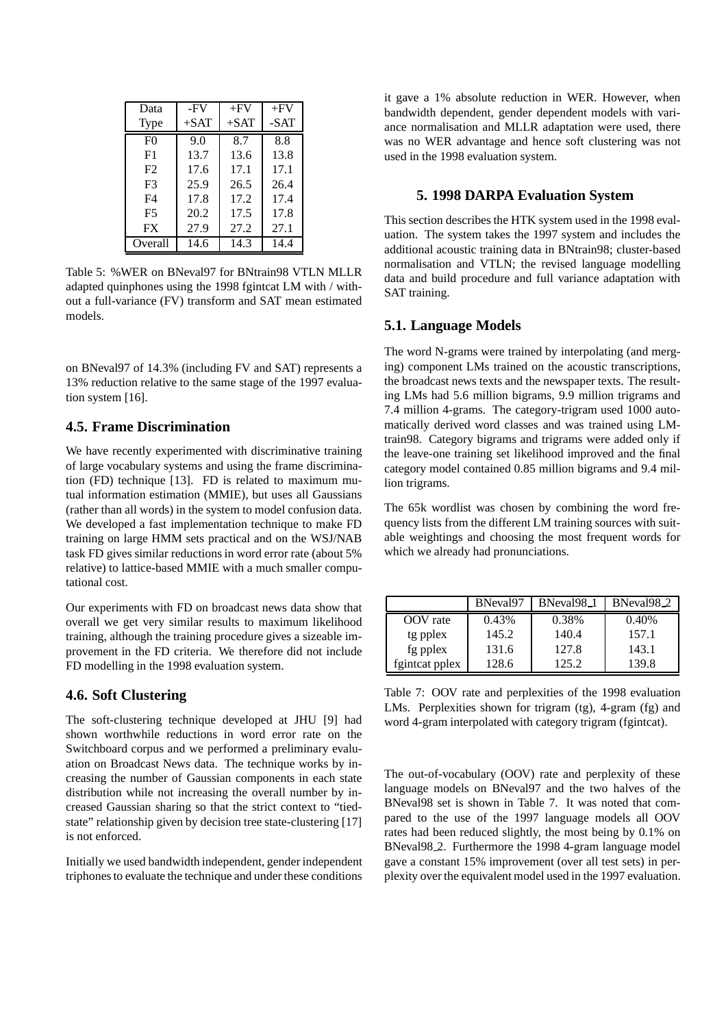| Data           | -FV    | $+FV$  | $+FV$ |
|----------------|--------|--------|-------|
| Type           | $+SAT$ | $+SAT$ | -SAT  |
| F()            | 9.0    | 8.7    | 8.8   |
| F1             | 13.7   | 13.6   | 13.8  |
| F2             | 17.6   | 17.1   | 17.1  |
| F <sub>3</sub> | 25.9   | 26.5   | 26.4  |
| F4             | 17.8   | 17.2   | 17.4  |
| F5             | 20.2   | 17.5   | 17.8  |
| FX             | 27.9   | 27.2   | 27.1  |
| Overall        | 14.6   | 14.3   | 14.4  |

Table 5: %WER on BNeval97 for BNtrain98 VTLN MLLR adapted quinphones using the 1998 fgintcat LM with / without a full-variance (FV) transform and SAT mean estimated models.

on BNeval97 of 14.3% (including FV and SAT) represents a 13% reduction relative to the same stage of the 1997 evaluation system [16].

# **4.5. Frame Discrimination**

We have recently experimented with discriminative training of large vocabulary systems and using the frame discrimination (FD) technique [13]. FD is related to maximum mutual information estimation (MMIE), but uses all Gaussians (rather than all words) in the system to model confusion data. We developed a fast implementation technique to make FD training on large HMM sets practical and on the WSJ/NAB task FD gives similar reductions in word error rate (about 5% relative) to lattice-based MMIE with a much smaller computational cost.

Our experiments with FD on broadcast news data show that overall we get very similar results to maximum likelihood training, although the training procedure gives a sizeable improvement in the FD criteria. We therefore did not include FD modelling in the 1998 evaluation system.

# **4.6. Soft Clustering**

The soft-clustering technique developed at JHU [9] had shown worthwhile reductions in word error rate on the Switchboard corpus and we performed a preliminary evaluation on Broadcast News data. The technique works by increasing the number of Gaussian components in each state distribution while not increasing the overall number by increased Gaussian sharing so that the strict context to "tiedstate" relationship given by decision tree state-clustering [17] is not enforced.

Initially we used bandwidth independent, gender independent triphonesto evaluate the technique and under these conditions it gave a 1% absolute reduction in WER. However, when bandwidth dependent, gender dependent models with variance normalisation and MLLR adaptation were used, there was no WER advantage and hence soft clustering was not used in the 1998 evaluation system.

## **5. 1998 DARPA Evaluation System**

This section describes the HTK system used in the 1998 evaluation. The system takes the 1997 system and includes the additional acoustic training data in BNtrain98; cluster-based normalisation and VTLN; the revised language modelling data and build procedure and full variance adaptation with SAT training.

## **5.1. Language Models**

The word N-grams were trained by interpolating (and merging) component LMs trained on the acoustic transcriptions, the broadcast news texts and the newspaper texts. The resulting LMs had 5.6 million bigrams, 9.9 million trigrams and 7.4 million 4-grams. The category-trigram used 1000 automatically derived word classes and was trained using LMtrain98. Category bigrams and trigrams were added only if the leave-one training set likelihood improved and the final category model contained 0.85 million bigrams and 9.4 million trigrams.

The 65k wordlist was chosen by combining the word frequency lists from the different LM training sources with suitable weightings and choosing the most frequent words for which we already had pronunciations.

|                | BNeval <sub>97</sub> | BNeval <sub>98_1</sub> | BNeval <sub>98.2</sub> |  |
|----------------|----------------------|------------------------|------------------------|--|
| OOV rate       | 0.43%                | 0.38%                  | 0.40%                  |  |
| tg pplex       | 145.2                | 140.4                  | 157.1                  |  |
| fg pplex       | 131.6                | 127.8                  | 143.1                  |  |
| fgintcat pplex | 128.6                | 125.2                  | 139.8                  |  |

Table 7: OOV rate and perplexities of the 1998 evaluation LMs. Perplexities shown for trigram (tg), 4-gram (fg) and word 4-gram interpolated with category trigram (fgintcat).

The out-of-vocabulary (OOV) rate and perplexity of these language models on BNeval97 and the two halves of the BNeval98 set is shown in Table 7. It was noted that compared to the use of the 1997 language models all OOV rates had been reduced slightly, the most being by 0.1% on BNeval98<sub>2</sub>. Furthermore the 1998 4-gram language model gave a constant 15% improvement (over all test sets) in perplexity over the equivalent model used in the 1997 evaluation.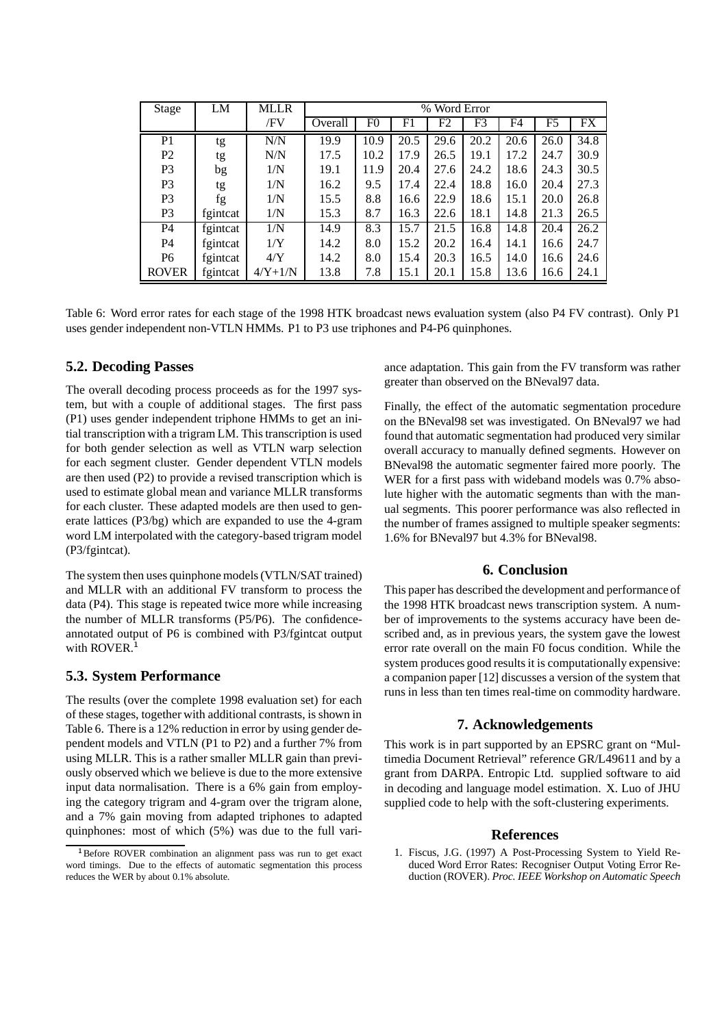| Stage          | LM       | <b>MLLR</b> | % Word Error |                |      |      |      |      |      |      |
|----------------|----------|-------------|--------------|----------------|------|------|------|------|------|------|
|                |          | /FV         | Overall      | F <sub>0</sub> | F1   | F2   | F3   | F4   | F5   | FX   |
| P <sub>1</sub> | tg       | N/N         | 19.9         | 10.9           | 20.5 | 29.6 | 20.2 | 20.6 | 26.0 | 34.8 |
| P <sub>2</sub> | tg       | N/N         | 17.5         | 10.2           | 17.9 | 26.5 | 19.1 | 17.2 | 24.7 | 30.9 |
| P <sub>3</sub> | bg       | 1/N         | 19.1         | 11.9           | 20.4 | 27.6 | 24.2 | 18.6 | 24.3 | 30.5 |
| P <sub>3</sub> | tg       | 1/N         | 16.2         | 9.5            | 17.4 | 22.4 | 18.8 | 16.0 | 20.4 | 27.3 |
| P <sub>3</sub> | fg       | 1/N         | 15.5         | 8.8            | 16.6 | 22.9 | 18.6 | 15.1 | 20.0 | 26.8 |
| P <sub>3</sub> | fgintcat | 1/N         | 15.3         | 8.7            | 16.3 | 22.6 | 18.1 | 14.8 | 21.3 | 26.5 |
| P4             | fgintcat | 1/N         | 14.9         | 8.3            | 15.7 | 21.5 | 16.8 | 14.8 | 20.4 | 26.2 |
| P4             | fgintcat | 1/Y         | 14.2         | 8.0            | 15.2 | 20.2 | 16.4 | 14.1 | 16.6 | 24.7 |
| P <sub>6</sub> | fgintcat | 4/Y         | 14.2         | 8.0            | 15.4 | 20.3 | 16.5 | 14.0 | 16.6 | 24.6 |
| <b>ROVER</b>   | fgintcat | $4/Y+1/N$   | 13.8         | 7.8            | 15.1 | 20.1 | 15.8 | 13.6 | 16.6 | 24.1 |

Table 6: Word error rates for each stage of the 1998 HTK broadcast news evaluation system (also P4 FV contrast). Only P1 uses gender independent non-VTLN HMMs. P1 to P3 use triphones and P4-P6 quinphones.

# **5.2. Decoding Passes**

The overall decoding process proceeds as for the 1997 system, but with a couple of additional stages. The first pass (P1) uses gender independent triphone HMMs to get an initial transcription with a trigram LM. This transcription is used for both gender selection as well as VTLN warp selection for each segment cluster. Gender dependent VTLN models are then used (P2) to provide a revised transcription which is used to estimate global mean and variance MLLR transforms for each cluster. These adapted models are then used to generate lattices (P3/bg) which are expanded to use the 4-gram word LM interpolated with the category-based trigram model (P3/fgintcat).

The system then uses quinphone models(VTLN/SAT trained) and MLLR with an additional FV transform to process the data (P4). This stage is repeated twice more while increasing the number of MLLR transforms (P5/P6). The confidenceannotated output of P6 is combined with P3/fgintcat output with ROVER. $<sup>1</sup>$ </sup>

#### **5.3. System Performance**

The results (over the complete 1998 evaluation set) for each of these stages, together with additional contrasts, is shown in Table 6. There is a 12% reduction in error by using gender dependent models and VTLN (P1 to P2) and a further 7% from using MLLR. This is a rather smaller MLLR gain than previously observed which we believe is due to the more extensive input data normalisation. There is a 6% gain from employing the category trigram and 4-gram over the trigram alone, and a 7% gain moving from adapted triphones to adapted quinphones: most of which (5%) was due to the full variance adaptation. This gain from the FV transform was rather greater than observed on the BNeval97 data.

Finally, the effect of the automatic segmentation procedure on the BNeval98 set was investigated. On BNeval97 we had found that automatic segmentation had produced very similar overall accuracy to manually defined segments. However on BNeval98 the automatic segmenter faired more poorly. The WER for a first pass with wideband models was 0.7% absolute higher with the automatic segments than with the manual segments. This poorer performance was also reflected in the number of frames assigned to multiple speaker segments: 1.6% for BNeval97 but 4.3% for BNeval98.

#### **6. Conclusion**

This paper has described the development and performance of the 1998 HTK broadcast news transcription system. A number of improvements to the systems accuracy have been described and, as in previous years, the system gave the lowest error rate overall on the main F0 focus condition. While the system produces good results it is computationally expensive: a companion paper [12] discusses a version of the system that runs in less than ten times real-time on commodity hardware.

#### **7. Acknowledgements**

This work is in part supported by an EPSRC grant on "Multimedia Document Retrieval" reference GR/L49611 and by a grant from DARPA. Entropic Ltd. supplied software to aid in decoding and language model estimation. X. Luo of JHU supplied code to help with the soft-clustering experiments.

#### **References**

1. Fiscus, J.G. (1997) A Post-Processing System to Yield Reduced Word Error Rates: Recogniser Output Voting Error Reduction (ROVER). *Proc. IEEE Workshop on Automatic Speech*

<sup>&</sup>lt;sup>1</sup>Before ROVER combination an alignment pass was run to get exact word timings. Due to the effects of automatic segmentation this process reduces the WER by about 0.1% absolute.